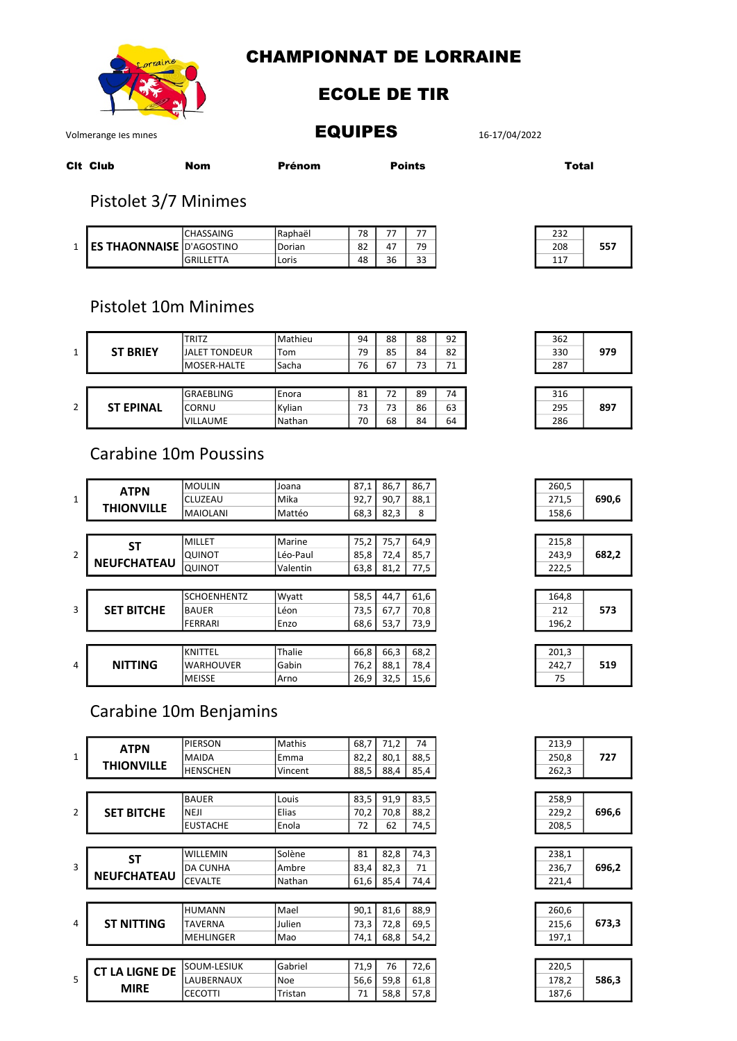

# **CHAMPIONNAT DE LORRAINE**

#### **ECOLE DE TIR**

## **EQUIPES**

16-17/04/2022

Volmerange les mines

| Cit Club | Nom | Prénom | <b>Points</b> |
|----------|-----|--------|---------------|

**Total** 

## Pistolet 3/7 Minimes

|                                 | ICHASSAING        | <b>IRaphaël</b> | 78 |    |    |
|---------------------------------|-------------------|-----------------|----|----|----|
| <b>ES THAONNAISE</b> D'AGOSTINO |                   | Dorian          | 82 |    | 79 |
|                                 | <b>GRILL FTTA</b> | Loris           | 48 | 36 | 33 |

| 232 |     |
|-----|-----|
| 208 | 557 |
| 117 |     |

# Pistolet 10m Minimes

| $\mathbf{1}$   | <b>ST BRIEY</b>  | <b>TRITZ</b>         | <b>Mathieu</b> | 94 | 88 | 88 | 92 |
|----------------|------------------|----------------------|----------------|----|----|----|----|
|                |                  | <b>JALET TONDEUR</b> | Tom            | 79 | 85 | 84 | 82 |
|                |                  | <b>MOSER-HALTE</b>   | <b>Sacha</b>   | 76 | 67 | 73 | 71 |
|                |                  |                      |                |    |    |    |    |
| $\overline{2}$ | <b>ST EPINAL</b> | <b>GRAEBLING</b>     | <b>Enora</b>   | 81 | 72 | 89 | 74 |
|                |                  | <b>CORNU</b>         | Kylian         | 73 | 73 | 86 | 63 |
|                |                  | <b>VILLAUME</b>      | Nathan         | 70 | 68 | 84 | 64 |

# **Carabine 10m Poussins**

| $\mathbf{1}$   | <b>ATPN</b>        | <b>MOULIN</b>      | Joana    | 87,1 | 86,7 | 86,7 |  |
|----------------|--------------------|--------------------|----------|------|------|------|--|
|                |                    | <b>CLUZEAU</b>     | Mika     | 92,7 | 90,7 | 88,1 |  |
|                | <b>THIONVILLE</b>  | <b>MAIOLANI</b>    | Mattéo   | 68,3 | 82,3 | 8    |  |
|                |                    |                    |          |      |      |      |  |
|                | <b>ST</b>          | MILLET             | Marine   | 75,2 | 75,7 | 64,9 |  |
| $\overline{2}$ |                    | <b>QUINOT</b>      | Léo-Paul | 85,8 | 72,4 | 85,7 |  |
|                | <b>NEUFCHATEAU</b> | QUINOT             | Valentin | 63,8 | 81,2 | 77,5 |  |
|                |                    |                    |          |      |      |      |  |
|                |                    | <b>SCHOENHENTZ</b> | Wyatt    | 58,5 | 44.7 | 61,6 |  |
| $\overline{3}$ | <b>SET BITCHE</b>  | <b>BAUER</b>       | Léon     | 73,5 | 67,7 | 70,8 |  |
|                |                    | <b>FERRARI</b>     | Enzo     | 68,6 | 53,7 | 73,9 |  |
|                |                    |                    |          |      |      |      |  |
| $\overline{a}$ |                    | KNITTEL            | Thalie   | 66,8 | 66,3 | 68,2 |  |
|                | <b>NITTING</b>     | <b>WARHOUVER</b>   | Gabin    | 76,2 | 88,1 | 78,4 |  |
|                |                    | <b>MEISSE</b>      | Arno     | 26,9 | 32,5 | 15,6 |  |

# Carabine 10m Benjamins

|                | <b>ATPN</b>           | <b>PIERSON</b>   | Mathis  | 68,7 | 71,2 | 74   |
|----------------|-----------------------|------------------|---------|------|------|------|
| $\mathbf{1}$   |                       | <b>MAIDA</b>     | Emma    | 82,2 | 80,1 | 88,5 |
|                | <b>THIONVILLE</b>     | <b>HENSCHEN</b>  | Vincent | 88,5 | 88,4 | 85,4 |
|                |                       |                  |         |      |      |      |
|                |                       | <b>BAUER</b>     | Louis   | 83,5 | 91,9 | 83,5 |
| $\mathfrak{p}$ | <b>SET BITCHE</b>     | <b>NEJI</b>      | Elias   | 70,2 | 70,8 | 88,2 |
|                |                       | <b>EUSTACHE</b>  | Enola   | 72   | 62   | 74,5 |
|                |                       |                  |         |      |      |      |
|                | SΤ                    | <b>WILLEMIN</b>  | Solène  | 81   | 82,8 | 74,3 |
| $\overline{3}$ |                       | <b>DA CUNHA</b>  | Ambre   | 83,4 | 82,3 | 71   |
|                | <b>NEUFCHATEAU</b>    | <b>CEVALTE</b>   | Nathan  | 61,6 | 85,4 | 74,4 |
|                |                       |                  |         |      |      |      |
|                |                       | <b>HUMANN</b>    | Mael    | 90,1 | 81,6 | 88,9 |
| $\overline{a}$ | <b>ST NITTING</b>     | <b>TAVERNA</b>   | Julien  | 73,3 | 72,8 | 69,5 |
|                |                       | <b>MEHLINGER</b> | Mao     | 74,1 | 68,8 | 54,2 |
|                |                       |                  |         |      |      |      |
| 5              | <b>CT LA LIGNE DE</b> | SOUM-LESIUK      | Gabriel | 71,9 | 76   | 72,6 |
|                |                       | LAUBERNAUX       | Noe     | 56,6 | 59,8 | 61,8 |
|                |                       | <b>CECOTTI</b>   | Tristan | 71   | 58,8 | 57,8 |
|                | <b>MIRE</b>           |                  |         |      |      |      |



| 316 |     |
|-----|-----|
| 295 | 897 |
| 286 |     |

| 260,5 |       |
|-------|-------|
| 271,5 | 690,6 |
| 158,6 |       |
|       |       |



| 164,8 |     |
|-------|-----|
| 212   | 573 |
| 196,2 |     |

| 201,3 |     |
|-------|-----|
| 242,7 | 519 |
| 75    |     |

| 213,9 |     |
|-------|-----|
| 250,8 | 727 |
| 262,3 |     |
|       |     |

| 258,9 |       |
|-------|-------|
| 229,2 | 696,6 |
| 208,5 |       |

| 238,1 |       |
|-------|-------|
| 236,7 | 696,2 |
| 221,4 |       |

| 260,6 |       |
|-------|-------|
| 215,6 | 673,3 |
| 197,1 |       |

| 220,5 |       |
|-------|-------|
| 178,2 | 586,3 |
| 187,6 |       |